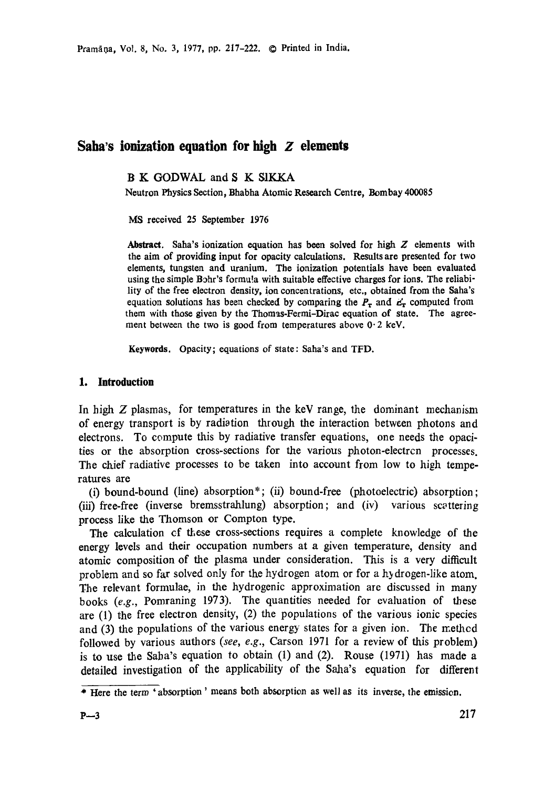Pramāna, Vol. 8, No. 3, 1977, pp. 217-222. © Printed in India.

# **Saha's ionization equation for high Z dements**

B K GODWAL and S K SIKKA

Neutron Physics Section, Bhabha Atomic Research Centre, Bombay 400083

MS received 25 September 1976

**Abstract.** Saha's ionization equation has been solved for high Z elements with the aim of providing **input for** opacity calculations. Results are presented for two elements, tungsten and uranium. The ionization potentials have been evaluated using the simple Bohr's formula with suitable effective charges for ions. The reliability of the free electron density, ion concentrations, etc., obtained from the Saha's equation solutions has been checked by comparing the  $P<sub>r</sub>$  and  $e'_{r}$  computed from them with those given by the Thomas-Fermi-Dirac equation of state. The agreement between the two is good from temperatures above  $0.2$  keV.

**Keywords.** Opacity; equations of state: Saha's and TFD.

## **1. Introduction**

In high  $Z$  plasmas, for temperatures in the keV range, the dominant mechanism of energy transport is by radiation through the interaction between photons and electrons. To compute this by radiative transfer equations, one needs the opacities or the absorption cross-sections for the various photon-electrcn processes. The chief radiative processes to be taken into account from low to high temperatures are

(i) bound-bound (line) absorption\* ; (ii) bound-free (photoelectric) absorption; (iii) free-free (inverse bremsstrahlung) absorption; and (iv) various scattering process like the Thomson or Compton type.

The calculation of these cross-sections requires a complete knowledge of the energy levels and their occupation numbers at a given temperature, density and atomic composition of the plasma under consideration. This is a very difficult problem and so far solved only for the hydrogen atom or for a hydrogen-like atom. The relevant formulae, in the hydrogenic approximation are discussed in many books (e.g., Pomraning 1973). The quantities needed for evaluation of these are (1) the free electron density, (2) the populations of the various ionic species and (3) the populations of the various energy states for a given ion. The method followed by various authors *(see, e.g.,* Carson 1971 for a review of this problem) is to use the Saba's equation to obtain (1) and (2). Rouse (1971) has made a detailed investigation of the applicability of the Saha's equation for different

<sup>\*</sup> Here the term ' absorption ' means both absorption as well as its inverse, the emission.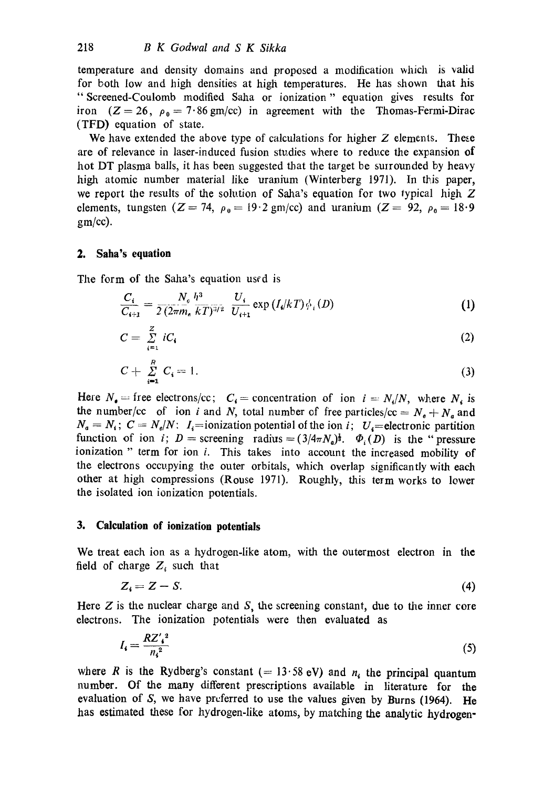temperature and density domains and proposed a modification which is valid for both low and high densities at high temperatures. He has shown that his " Screened-Coulomb modified Saha or ionization " equation gives results for iron  $(Z = 26, \rho_0 = 7.86 \text{ gm/cc})$  in agreement with the Thomas-Fermi-Dirac (TFD) equation of state.

We have extended the above type of calculations for higher  $Z$  elements. These are of relevance in laser-induced fusion studies where to reduce the expansion of hot DT plasma balls, it has been suggested that the target be surrounded by heavy high atomic number material like uranium (Winterberg 1971). In this paper, we report the results of the solution of Saha's equation for two typical high Z elements, tungsten (Z = 74,  $\rho_0 = 19.2$  gm/cc) and uranium (Z = 92,  $\rho_0 = 18.9$ gm/cc).

## **2. Saha's equation**

The form of the Saha's equation used is

$$
\frac{C_i}{C_{i+1}} = \frac{N_c}{2} \frac{h^3}{(2\pi m_a \ kT)^{3/2}} \ \frac{U_i}{U_{i+1}} \exp\left(I_i/kT\right) \phi_i(D) \tag{1}
$$

$$
C = \sum_{i=1}^{Z} iC_i \tag{2}
$$

$$
C + \sum_{i=1}^{R} C_i = 1.
$$
 (3)

Here  $N_e$  = free electrons/cc;  $C_i$  = concentration of ion  $i = N_i/N$ , where  $N_i$  is the number/cc of ion i and N, total number of free particles/cc =  $N_e + N_a$  and  $N_a = N_i$ ;  $C = N_e/N$ :  $I_i$ =ionization potential of the ion i;  $U_i$ =electronic partition function of ion i;  $D =$  screening radius =  $(3/4\pi N_a)^{\frac{1}{2}}$ .  $\Phi_i(D)$  is the "pressure ionization " term for ion *i*. This takes into account the increased mobility of the electrons occupying the outer orbitals, which overlap significantly with each other at high compressions (Rouse 1971). Roughly, this term works to lower the isolated ion ionization potentials.

### **3. Calculation of ionization potentials**

We treat each ion as a hydrogen-like atom, with the outermost electron in the field of charge  $Z_i$  such that

$$
Z_i = Z - S. \tag{4}
$$

Here  $Z$  is the nuclear charge and  $S$ , the screening constant, due to the inner core electrons. The ionization potentials were then evaluated as

$$
I_i = \frac{R Z_i^2}{n_i^2} \tag{5}
$$

where R is the Rydberg's constant (= 13.58 eV) and  $n_i$  the principal quantum number. Of the many different prescriptions available in literature for **the**  evaluation of S, we have preferred to use the values given by Burns (1964). He has estimated these for hydrogen-like atoms, by matching the analytic **hydrogen-**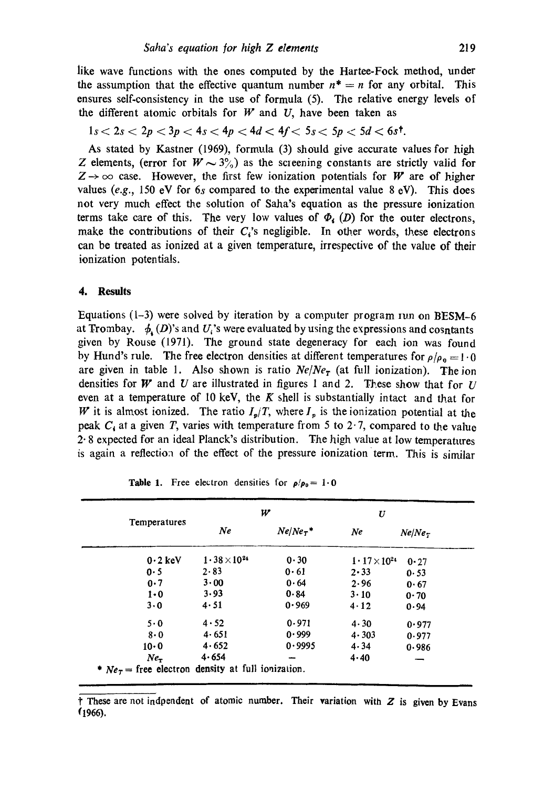like wave functions with the ones computed by the Hartee-Fock method, under the assumption that the effective quantum number  $n^* = n$  for any orbital. This ensures self-consistency in the use of formula (5). The relative energy levels of the different atomic orbitals for  $W$  and  $U$ , have been taken as

$$
1s < 2s < 2p < 3p < 4s < 4p < 4d < 4f < 5s < 5p < 5d < 6s^{\dagger}.
$$

As stated by Kastner (1969), formula (3) should give accurate values for high Z elements, (error for  $W \sim 3\frac{6}{9}$ ) as the screening constants are strictly valid for  $Z \rightarrow \infty$  case. However, the first few ionization potentials for W are of higher values  $(e.g., 150 \text{ eV}$  for  $6s$  compared to the experimental value  $8 \text{ eV}$ ). This does not very much effect the solution of Saha's equation as the pressure ionization terms take care of this. The very low values of  $\Phi_i$  (D) for the outer electrons, make the contributions of their  $C_i$ 's negligible. In other words, these electrons can be treated as ionized at a given temperature, irrespective of the value of their ionization potentials.

#### **4. Results**

Equations  $(1-3)$  were solved by iteration by a computer program iun on BESM-6 at Trombay.  $\phi_{\lambda}(D)$ 's and U<sub>i</sub>'s were evaluated by using the expressions and cosntants given by Rouse (1971). The ground state degeneracy for each ion was found by Hund's rule. The free electron densities at different temperatures for  $\rho/\rho_0 = 1.0$ are given in table 1. Also shown is ratio *Ne/Ner* (at full ionization). The ion densities for W and U are illustrated in figures 1 and 2. These show that for U even at a temperature of 10 keV, the  $K$  shell is substantially intact and that for W it is almost ionized. The ratio  $I_p/T$ , where  $I_p$  is the ionization potential at the peak  $C_4$  at a given T, varies with temperature from 5 to 2.7, compared to the value  $2 \cdot 8$  expected for an ideal Planck's distribution. The high value at low temperatures is again a reflection of the effect of the pressure ionization term. This is similar

|                   | w                     |             | U                           |                |
|-------------------|-----------------------|-------------|-----------------------------|----------------|
| Temperatures      | Ne                    | $Ne/Ne_T$ * | Ne                          | $Ne/Ne_{\tau}$ |
| $0.2 \text{ keV}$ | $1.38 \times 10^{24}$ | 0.30        | $1 \cdot 17 \times 10^{24}$ | $0 - 27$       |
| 0.5               | 2.83                  | 0.61        | $2 \cdot 33$                | 0.53           |
| 0.7               | $3 \cdot 00$          | 0.64        | 2.96                        | 0.67           |
| $1 \cdot 0$       | 3.93                  | 0.84        | $3 \cdot 10$                | 0.70           |
| 3.0               | 4.51                  | 0.969       | 4.12                        | 0.94           |
| $5 \cdot 0$       | 4.52                  | 0.971       | 4.30                        | 0.977          |
| 8.0               | 4.651                 | 0.999       | 4.303                       | 0.977          |
| $10 \cdot 0$      | 4.652                 | 0.9995      | 4.34                        | 0.986          |
| $Ne_{\tau}$       | 4.654                 |             | 4.40                        |                |

|  |  |  |  | <b>Table 1.</b> Free electron densities for $\rho/\rho_0 = 1.0$ |  |  |  |
|--|--|--|--|-----------------------------------------------------------------|--|--|--|
|--|--|--|--|-----------------------------------------------------------------|--|--|--|

 $\dagger$  These are not indpendent of atomic number. Their variation with  $Z$  is given by Evans f1966).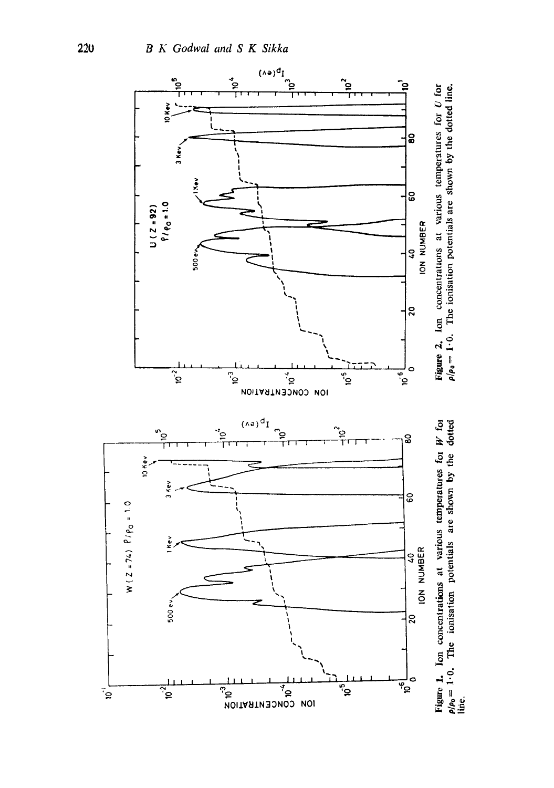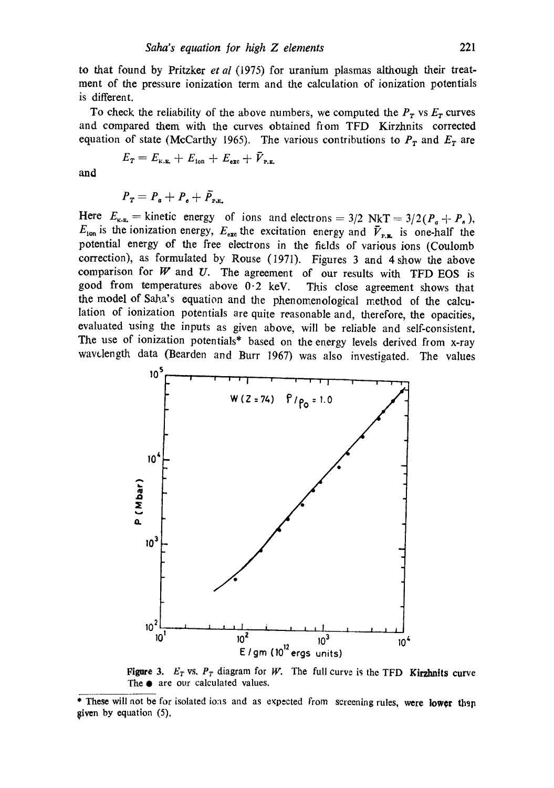to that found by Pritzker *et al* (1975) for uranium plasmas although their treatment of the pressure ionization term and the calculation of ionization potentials is different.

To check the reliability of the above numbers, we computed the  $P_T$  vs  $E_T$  curves and compared them with the curves obtained from TFD Kirzhnits corrected equation of state (McCarthy 1965). The various contributions to  $P<sub>T</sub>$  and  $E<sub>T</sub>$  are

$$
E_T = E_{\text{\tiny K.E.}} + E_{\text{\tiny 10n}} + E_{\text{\tiny ext}} + \bar{V}_{\text{\tiny P.E.}}
$$

and

$$
\boldsymbol{P}_{\boldsymbol{T}} = \boldsymbol{P}_{\boldsymbol{a}} + \boldsymbol{P}_{\boldsymbol{e}} + \bar{\boldsymbol{P}}_{\text{P.E.}}
$$

Here  $E_{\text{\tiny K-R}} =$  kinetic energy of ions and electrons = 3/2 NkT = 3/2( $P_a + P_a$ ),  $E_{\text{ion}}$  is the ionization energy,  $E_{\text{exc}}$  the excitation energy and  $\bar{V}_{\text{P.E.}}$  is one-half the potential energy of the free electrons in the fields of various ions (Coulomb correction), as formulated by Rouse (I971). Figures 3 and 4 show the above comparison for  $W$  and  $U$ . The agreement of our results with TFD EOS is good from temperatures above  $0.2$  keV. This close agreement shows that the model of Saha's equation and the phenomenological method of the calculation of ionization potentials are quite reasonable and, therefore, the opacities, evaluated using the inputs as given above, will be reliable and self-consistent. The use of ionization potentials\* based on the energy levels derived from x-ray wavelength data (Bearden and Burr 1967) was also investigated. The values



**Figure 3.**  $E_T$  vs.  $P_T$  diagram for W. The full curve is the TFD **Kirzhnits curve** The  $\bullet$  are our calculated values.

<sup>\*</sup> These will not be for isolated ions and as expected from screening rules, were lower than given by equation (5).